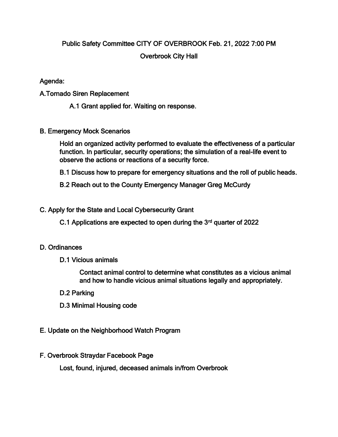# Public Safety Committee CITY OF OVERBROOK Feb. 21, 2022 7:00 PM Overbrook City Hall

## Agenda:

A.Tornado Siren Replacement

A.1 Grant applied for. Waiting on response.

B. Emergency Mock Scenarios

Hold an organized activity performed to evaluate the effectiveness of a particular function. In particular, security operations; the simulation of a real-life event to observe the actions or reactions of a security force.

B.1 Discuss how to prepare for emergency situations and the roll of public heads.

B.2 Reach out to the County Emergency Manager Greg McCurdy

## C. Apply for the State and Local Cybersecurity Grant

C.1 Applications are expected to open during the  $3<sup>rd</sup>$  quarter of 2022

#### D. Ordinances

D.1 Vicious animals

Contact animal control to determine what constitutes as a vicious animal and how to handle vicious animal situations legally and appropriately.

- D.2 Parking
- D.3 Minimal Housing code
- E. Update on the Neighborhood Watch Program
- F. Overbrook Straydar Facebook Page

Lost, found, injured, deceased animals in/from Overbrook